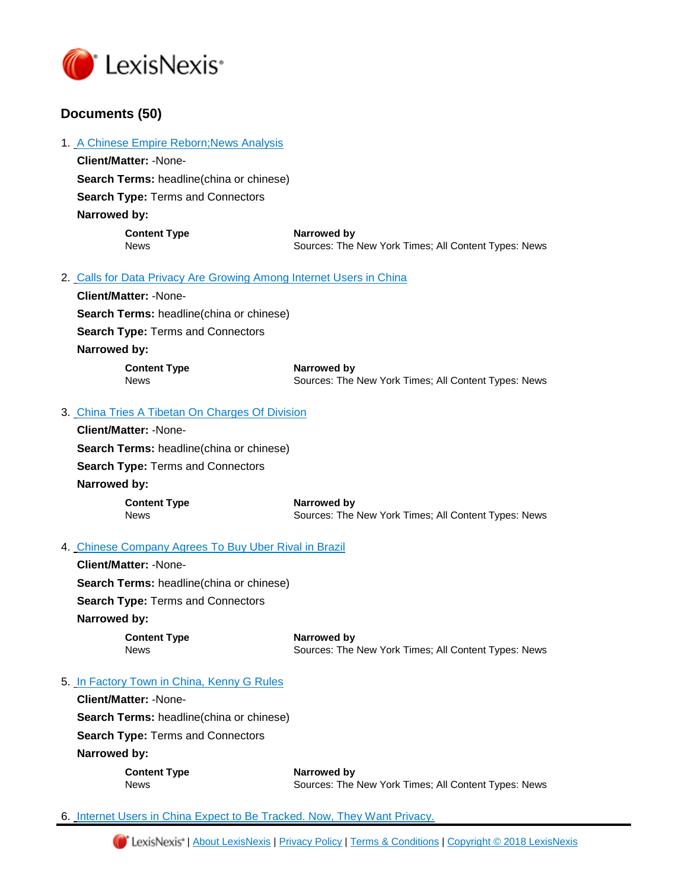

1. [A Chinese Empire Reborn;News Analysis](https://advance.lexis.com/api/document?id=urn:contentItem:5RBN-CSN1-JBG3-62GP-00000-00&idtype=PID&context=1000516)

# **Documents (50)**

|                                                                                                              | <b>Client/Matter: -None-</b>                     |                                                                     |  |
|--------------------------------------------------------------------------------------------------------------|--------------------------------------------------|---------------------------------------------------------------------|--|
|                                                                                                              | <b>Search Terms: headline (china or chinese)</b> |                                                                     |  |
|                                                                                                              | <b>Search Type: Terms and Connectors</b>         |                                                                     |  |
|                                                                                                              | Narrowed by:                                     |                                                                     |  |
|                                                                                                              | <b>Content Type</b><br><b>News</b>               | Narrowed by<br>Sources: The New York Times; All Content Types: News |  |
| 2. Calls for Data Privacy Are Growing Among Internet Users in China                                          |                                                  |                                                                     |  |
|                                                                                                              | Client/Matter: -None-                            |                                                                     |  |
| <b>Search Terms: headline (china or chinese)</b><br><b>Search Type: Terms and Connectors</b><br>Narrowed by: |                                                  |                                                                     |  |
|                                                                                                              |                                                  |                                                                     |  |
|                                                                                                              |                                                  |                                                                     |  |
|                                                                                                              | <b>Content Type</b><br><b>News</b>               | Narrowed by<br>Sources: The New York Times; All Content Types: News |  |
| 3. China Tries A Tibetan On Charges Of Division                                                              |                                                  |                                                                     |  |
|                                                                                                              | Cliant/Mattor: Nono                              |                                                                     |  |

| <b>Client/Matter: -None-</b>                    |                                                                     |  |
|-------------------------------------------------|---------------------------------------------------------------------|--|
| <b>Search Terms:</b> headline(china or chinese) |                                                                     |  |
| <b>Search Type:</b> Terms and Connectors        |                                                                     |  |
| Narrowed by:                                    |                                                                     |  |
| <b>Content Type</b><br><b>News</b>              | Narrowed by<br>Sources: The New York Times; All Content Types: News |  |

# 4. [Chinese Company Agrees To Buy Uber Rival in Brazil](https://advance.lexis.com/api/document?id=urn:contentItem:5RB7-JHG1-DXY4-X2GW-00000-00&idtype=PID&context=1000516)

**Client/Matter:** -None-**Search Terms:** headline(china or chinese) **Search Type:** Terms and Connectors **Narrowed by: Content Type Narrowed by**

News Sources: The New York Times; All Content Types: News

# 5. [In Factory Town in China, Kenny G Rules](https://advance.lexis.com/api/document?id=urn:contentItem:5RB7-JHG1-DXY4-X2J2-00000-00&idtype=PID&context=1000516)

**Client/Matter:** -None-**Search Terms:** headline(china or chinese) **Search Type:** Terms and Connectors **Narrowed by:** 

| <b>Content Type</b> | Narrowed by                                          |
|---------------------|------------------------------------------------------|
| News                | Sources: The New York Times; All Content Types: News |

6. [Internet Users in China Expect to Be Tracked. Now, They Want Privacy.](https://advance.lexis.com/api/document?id=urn:contentItem:5RBD-WKV1-DXY4-X4FN-00000-00&idtype=PID&context=1000516)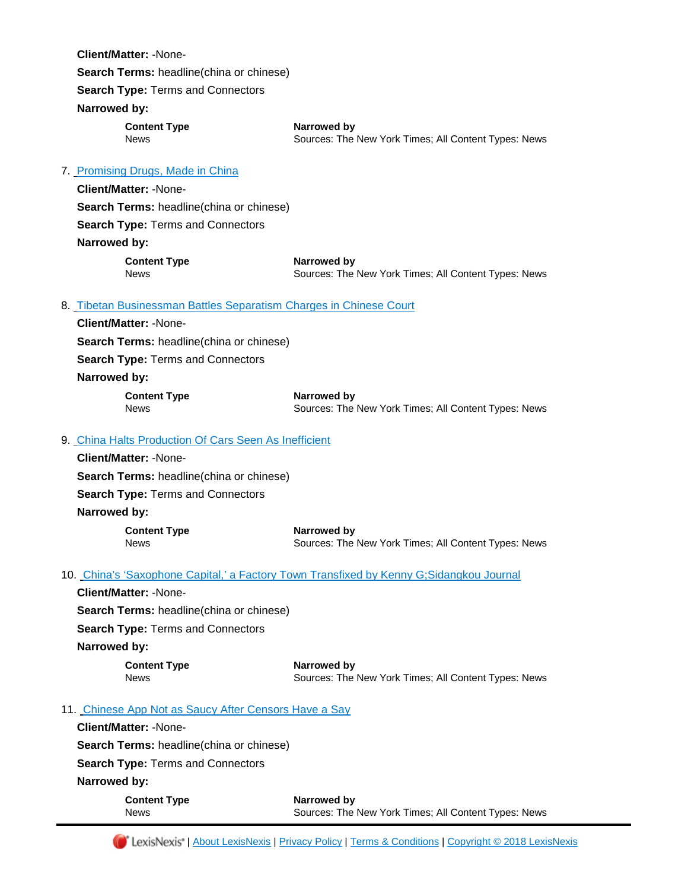| <b>Client/Matter: -None-</b>                                                          |                                                                                          |
|---------------------------------------------------------------------------------------|------------------------------------------------------------------------------------------|
| Search Terms: headline(china or chinese)                                              |                                                                                          |
| Search Type: Terms and Connectors                                                     |                                                                                          |
| Narrowed by:                                                                          |                                                                                          |
| <b>Content Type</b>                                                                   | Narrowed by                                                                              |
| <b>News</b>                                                                           | Sources: The New York Times; All Content Types: News                                     |
|                                                                                       |                                                                                          |
| 7 Promising Drugs, Made in China<br><b>Client/Matter: -None-</b>                      |                                                                                          |
|                                                                                       |                                                                                          |
| Search Terms: headline(china or chinese)<br>Search Type: Terms and Connectors         |                                                                                          |
|                                                                                       |                                                                                          |
| Narrowed by:                                                                          |                                                                                          |
| <b>Content Type</b><br><b>News</b>                                                    | Narrowed by<br>Sources: The New York Times; All Content Types: News                      |
|                                                                                       |                                                                                          |
| 8. Tibetan Businessman Battles Separatism Charges in Chinese Court                    |                                                                                          |
| <b>Client/Matter: -None-</b>                                                          |                                                                                          |
| Search Terms: headline(china or chinese)                                              |                                                                                          |
| Search Type: Terms and Connectors                                                     |                                                                                          |
| Narrowed by:                                                                          |                                                                                          |
| <b>Content Type</b>                                                                   | Narrowed by                                                                              |
| <b>News</b>                                                                           | Sources: The New York Times; All Content Types: News                                     |
| 9. China Halts Production Of Cars Seen As Inefficient                                 |                                                                                          |
| <b>Client/Matter: -None-</b>                                                          |                                                                                          |
| Search Terms: headline(china or chinese)                                              |                                                                                          |
| Search Type: Terms and Connectors                                                     |                                                                                          |
| Narrowed by:                                                                          |                                                                                          |
| <b>Content Type</b>                                                                   | Narrowed by                                                                              |
| <b>News</b>                                                                           | Sources: The New York Times; All Content Types: News                                     |
|                                                                                       | 10. China's 'Saxophone Capital,' a Factory Town Transfixed by Kenny G; Sidangkou Journal |
| <b>Client/Matter: -None-</b>                                                          |                                                                                          |
| Search Terms: headline(china or chinese)                                              |                                                                                          |
| Search Type: Terms and Connectors                                                     |                                                                                          |
| Narrowed by:                                                                          |                                                                                          |
| <b>Content Type</b>                                                                   | Narrowed by                                                                              |
| <b>News</b>                                                                           | Sources: The New York Times; All Content Types: News                                     |
|                                                                                       |                                                                                          |
| 11. Chinese App Not as Saucy After Censors Have a Say<br><b>Client/Matter: -None-</b> |                                                                                          |
|                                                                                       |                                                                                          |
| <b>Search Terms: headline (china or chinese)</b>                                      |                                                                                          |
| Search Type: Terms and Connectors<br>Narrowed by:                                     |                                                                                          |
|                                                                                       |                                                                                          |
| <b>Content Type</b><br><b>News</b>                                                    | Narrowed by<br>Sources: The New York Times; All Content Types: News                      |
|                                                                                       |                                                                                          |

[| About LexisNexis](http://www.lexisnexis.com/about-us/) | [Privacy Policy](http://www.lexisnexis.com/en-us/terms/privacy-policy.page) | [Terms & Conditions](http://www.lexisnexis.com/terms/general.aspx) | [Copyright © 2018 LexisNexis](http://www.lexisnexis.com/terms/copyright.aspx)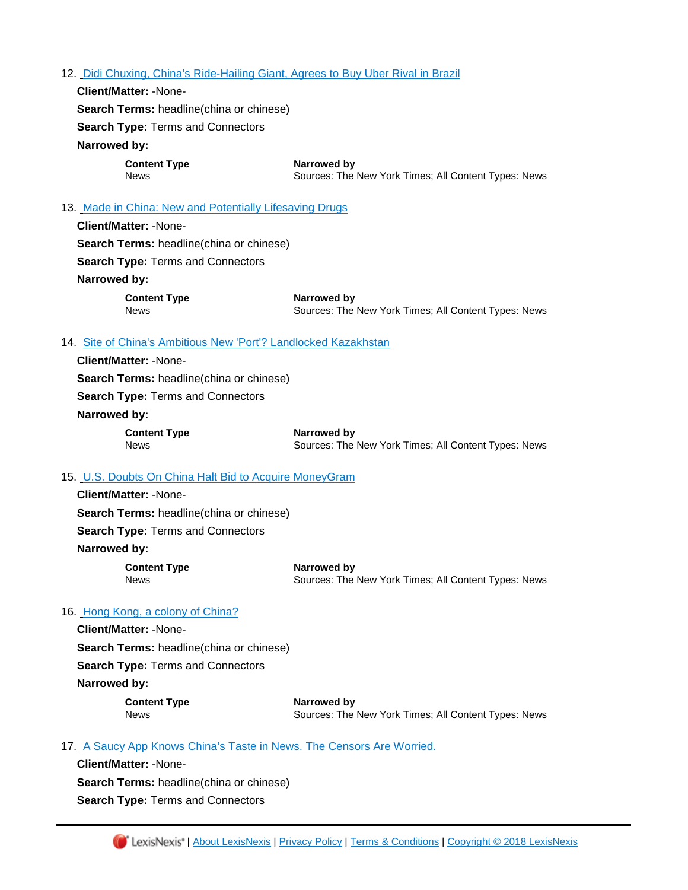#### 12. [Didi Chuxing, China's Ride-Hailing Giant, Agrees to Buy Uber Rival in Brazil](https://advance.lexis.com/api/document?id=urn:contentItem:5RB4-1BD1-JBG3-636S-00000-00&idtype=PID&context=1000516)

**Search Type:** Terms and Connectors **Narrowed by: Content Type Narrowed by** News Sources: The New York Times; All Content Types: News

# 13. [Made in China: New and Potentially Lifesaving Drugs](https://advance.lexis.com/api/document?id=urn:contentItem:5RB6-V4S1-DXY4-X557-00000-00&idtype=PID&context=1000516)

**Client/Matter:** -None-**Search Terms:** headline(china or chinese) **Search Type:** Terms and Connectors **Narrowed by:** 

**Search Terms:** headline(china or chinese)

**Client/Matter:** -None-

**Content Type Narrowed by** News **Sources: The New York Times; All Content Types: News** 

#### 14. [Site of China's Ambitious New 'Port'? Landlocked Kazakhstan](https://advance.lexis.com/api/document?id=urn:contentItem:5RB1-KDF1-DXY4-X3XN-00000-00&idtype=PID&context=1000516)

**Client/Matter:** -None-**Search Terms:** headline(china or chinese) **Search Type:** Terms and Connectors **Narrowed by: Content Type Narrowed by** News Sources: The New York Times; All Content Types: News

#### 15. [U.S. Doubts On China Halt Bid to Acquire MoneyGram](https://advance.lexis.com/api/document?id=urn:contentItem:5RB1-KDF1-DXY4-X3XW-00000-00&idtype=PID&context=1000516)

**Client/Matter:** -None-**Search Terms:** headline(china or chinese) **Search Type:** Terms and Connectors **Narrowed by:** 

**Content Type Narrowed by** News Sources: The New York Times; All Content Types: News

#### 16. [Hong Kong, a colony of China?](https://advance.lexis.com/api/document?id=urn:contentItem:5R9T-M741-JBG3-63J1-00000-00&idtype=PID&context=1000516)

**Client/Matter:** -None-**Search Terms:** headline(china or chinese) **Search Type:** Terms and Connectors **Narrowed by:** 

**Content Type Narrowed by** 

News **Sources: The New York Times; All Content Types: News** 

#### 17. [A Saucy App Knows China's Taste in News. The Censors Are Worried.](https://advance.lexis.com/api/document?id=urn:contentItem:5RB0-TTC1-JBG3-602G-00000-00&idtype=PID&context=1000516)

**Client/Matter:** -None-**Search Terms:** headline(china or chinese) **Search Type:** Terms and Connectors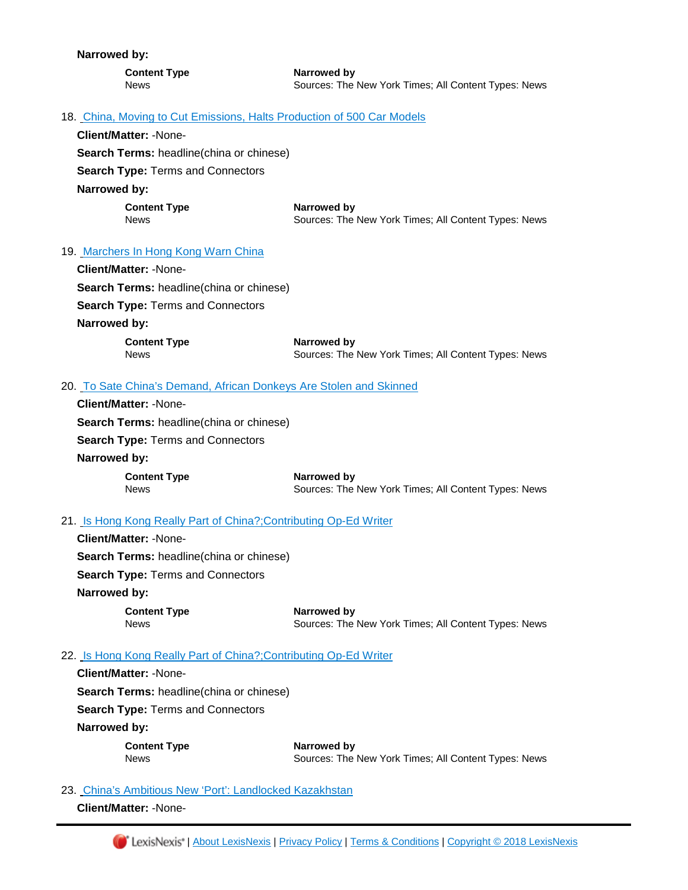**Narrowed by: Content Type Narrowed by** News Sources: The New York Times; All Content Types: News 18. [China, Moving to Cut Emissions, Halts Production of 500 Car Models](https://advance.lexis.com/api/document?id=urn:contentItem:5RB1-1HV1-DXY4-X3P2-00000-00&idtype=PID&context=1000516) **Client/Matter:** -None-**Search Terms:** headline(china or chinese) **Search Type:** Terms and Connectors **Narrowed by: Content Type**  Narrowed by News **Sources: The New York Times; All Content Types: News** 19. [Marchers In Hong Kong Warn China](https://advance.lexis.com/api/document?id=urn:contentItem:5R9T-M741-JBG3-63HK-00000-00&idtype=PID&context=1000516) **Client/Matter:** -None-**Search Terms:** headline(china or chinese) **Search Type:** Terms and Connectors **Narrowed by: Content Type Narrowed by** News **Sources: The New York Times; All Content Types: News** 20. [To Sate China's Demand, African Donkeys Are Stolen and Skinned](https://advance.lexis.com/api/document?id=urn:contentItem:5R9X-6SF1-DXY4-X3J2-00000-00&idtype=PID&context=1000516) **Client/Matter:** -None-**Search Terms:** headline(china or chinese) **Search Type:** Terms and Connectors **Narrowed by: Content Type Narrowed by** News **Sources: The New York Times; All Content Types: News** News 21. [Is Hong Kong Really Part of China?;Contributing Op-Ed Writer](https://advance.lexis.com/api/document?id=urn:contentItem:5R9S-9P61-JBG3-62HD-00000-00&idtype=PID&context=1000516) **Client/Matter:** -None-

**Search Terms:** headline(china or chinese)

**Search Type:** Terms and Connectors

**Narrowed by:** 

**Content Type <b>Narrowed** by News Sources: The New York Times; All Content Types: News

#### 22. [Is Hong Kong Really Part of China?;Contributing Op-Ed Writer](https://advance.lexis.com/api/document?id=urn:contentItem:5RBN-CSN1-JBG3-62FT-00000-00&idtype=PID&context=1000516)

**Client/Matter:** -None-**Search Terms:** headline(china or chinese) **Search Type:** Terms and Connectors **Narrowed by: Content Type Narrowed by** News Sources: The New York Times; All Content Types: News

# 23. [China's Ambitious New 'Port': Landlocked Kazakhstan](https://advance.lexis.com/api/document?id=urn:contentItem:5RB0-M2B1-JBG3-601P-00000-00&idtype=PID&context=1000516)

**Client/Matter:** -None-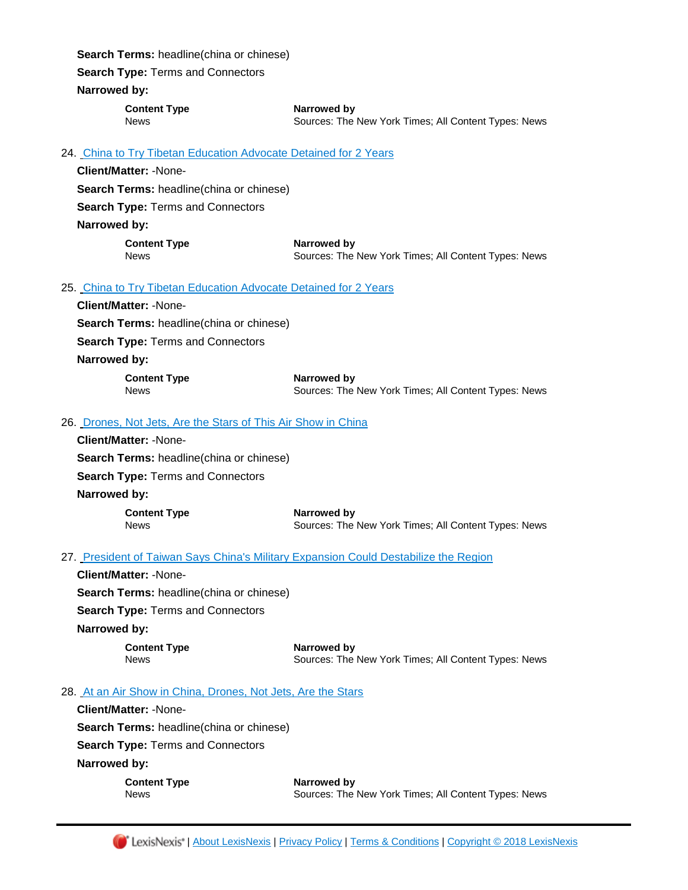**Search Terms:** headline(china or chinese)

**Search Type:** Terms and Connectors

#### **Narrowed by:**

**Content Type Narrowed by**

News Sources: The New York Times; All Content Types: News

# 24. [China to Try Tibetan Education Advocate Detained for 2 Years](https://advance.lexis.com/api/document?id=urn:contentItem:5R9D-K1V1-DXY4-X4YY-00000-00&idtype=PID&context=1000516)

|                                                               | Client/Matter: -None-                                            |                                                                     |  |
|---------------------------------------------------------------|------------------------------------------------------------------|---------------------------------------------------------------------|--|
| <b>Search Terms: headline (china or chinese)</b>              |                                                                  |                                                                     |  |
| <b>Search Type: Terms and Connectors</b>                      |                                                                  |                                                                     |  |
|                                                               | Narrowed by:                                                     |                                                                     |  |
|                                                               | <b>Content Type</b><br><b>News</b>                               | Narrowed by<br>Sources: The New York Times; All Content Types: News |  |
|                                                               | 25. China to Try Tibetan Education Advocate Detained for 2 Years |                                                                     |  |
|                                                               | Client/Matter: -None-                                            |                                                                     |  |
| <b>Search Terms: headline (china or chinese)</b>              |                                                                  |                                                                     |  |
| Search Type: Terms and Connectors                             |                                                                  |                                                                     |  |
|                                                               | Narrowed by:                                                     |                                                                     |  |
|                                                               | <b>Content Type</b><br><b>News</b>                               | Narrowed by<br>Sources: The New York Times; All Content Types: News |  |
| 26. Drones, Not Jets, Are the Stars of This Air Show in China |                                                                  |                                                                     |  |
|                                                               | <b>Client/Matter: -None-</b>                                     |                                                                     |  |
| <b>Search Terms:</b> headline(china or chinese)               |                                                                  |                                                                     |  |
|                                                               | Search Type: Terms and Connectors                                |                                                                     |  |
|                                                               | Narrowed by:                                                     |                                                                     |  |
|                                                               | <b>Content Type</b><br><b>News</b>                               | Narrowed by<br>Sources: The New York Times; All Content Types: News |  |

# 27. [President of Taiwan Says China's Military Expansion Could Destabilize the Region](https://advance.lexis.com/api/document?id=urn:contentItem:5R95-PMY1-JBG3-653P-00000-00&idtype=PID&context=1000516)

**Client/Matter:** -None-**Search Terms:** headline(china or chinese) **Search Type:** Terms and Connectors **Narrowed by:** 

**Content Type Narrowed by**

News Sources: The New York Times; All Content Types: News

# 28. [At an Air Show in China, Drones, Not Jets, Are the Stars](https://advance.lexis.com/api/document?id=urn:contentItem:5R8Y-RHF1-DXY4-X0K7-00000-00&idtype=PID&context=1000516)

**Client/Matter:** -None-

**Search Terms:** headline(china or chinese)

**Search Type:** Terms and Connectors

**Narrowed by:** 

**Content Type Narrowed by** News Sources: The New York Times; All Content Types: News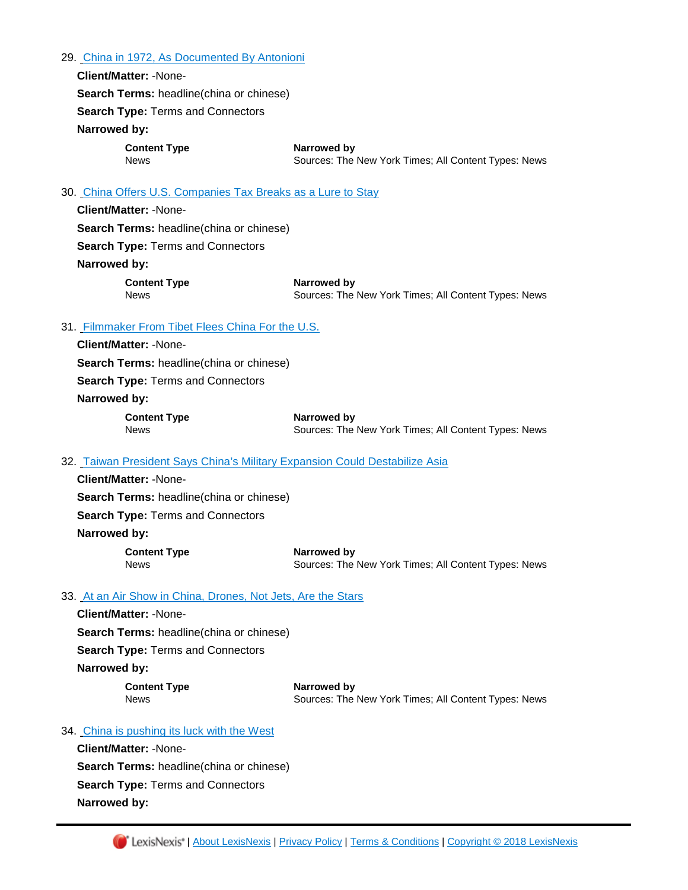29. [China in 1972, As Documented By Antonioni](https://advance.lexis.com/api/document?id=urn:contentItem:5R8Y-RHF1-DXY4-X0NC-00000-00&idtype=PID&context=1000516)

**Client/Matter:** -None-**Search Terms:** headline(china or chinese) **Search Type:** Terms and Connectors **Narrowed by:** 

**Content Type Narrowed by**

News Sources: The New York Times; All Content Types: News

#### 30. [China Offers U.S. Companies Tax Breaks as a Lure to Stay](https://advance.lexis.com/api/document?id=urn:contentItem:5R8Y-RHF1-DXY4-X0K8-00000-00&idtype=PID&context=1000516)

**Client/Matter:** -None-**Search Terms:** headline(china or chinese) **Search Type:** Terms and Connectors **Narrowed by: Content Type Narrowed by**

News Sources: The New York Times; All Content Types: News

# 31. [Filmmaker From Tibet Flees China For the U.S.](https://advance.lexis.com/api/document?id=urn:contentItem:5R8Y-RHF1-DXY4-X0NX-00000-00&idtype=PID&context=1000516)

**Client/Matter:** -None-

**Search Terms:** headline(china or chinese)

**Search Type:** Terms and Connectors

#### **Narrowed by:**

**Content Type Narrowed by**

News **Sources: The New York Times; All Content Types: News** 

#### 32. [Taiwan President Says China's Military Expansion Could Destabilize Asia](https://advance.lexis.com/api/document?id=urn:contentItem:5R90-GC01-DXY4-X1XB-00000-00&idtype=PID&context=1000516)

**Client/Matter:** -None-**Search Terms:** headline(china or chinese) **Search Type:** Terms and Connectors **Narrowed by: Content Type Narrowed by** 

News **Sources: The New York Times; All Content Types: News** 

#### 33. [At an Air Show in China, Drones, Not Jets, Are the Stars](https://advance.lexis.com/api/document?id=urn:contentItem:5R8T-N9V1-JBG3-60HH-00000-00&idtype=PID&context=1000516)

**Client/Matter:** -None-**Search Terms:** headline(china or chinese) **Search Type:** Terms and Connectors **Narrowed by:** 

**Content Type Narrowed by** News Sources: The New York Times; All Content Types: News

#### 34. [China is pushing its luck with the West](https://advance.lexis.com/api/document?id=urn:contentItem:5R8R-SDG1-JBG3-6498-00000-00&idtype=PID&context=1000516)

**Client/Matter:** -None-**Search Terms:** headline(china or chinese) **Search Type:** Terms and Connectors **Narrowed by:**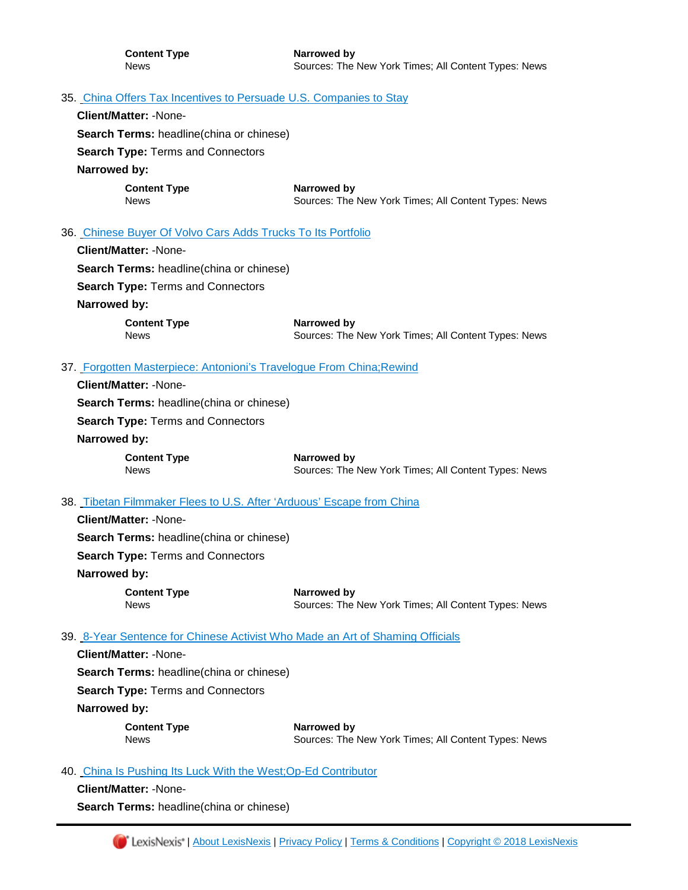# 35. [China Offers Tax Incentives to Persuade U.S. Companies to Stay](https://advance.lexis.com/api/document?id=urn:contentItem:5R8Y-4G51-DXY4-X0H4-00000-00&idtype=PID&context=1000516)

**Client/Matter:** -None-

**Search Terms:** headline(china or chinese)

**Search Type:** Terms and Connectors

**Narrowed by:** 

**Content Type Narrowed by**

News **News** Sources: The New York Times; All Content Types: News

# 36. [Chinese Buyer Of Volvo Cars Adds Trucks To Its Portfolio](https://advance.lexis.com/api/document?id=urn:contentItem:5R8R-SDG1-JBG3-64BC-00000-00&idtype=PID&context=1000516)

**Client/Matter:** -None-

**Search Terms:** headline(china or chinese)

**Search Type:** Terms and Connectors

#### **Narrowed by:**

**Content Type <b>Narrowed** by

News **Sources: The New York Times; All Content Types: News** 

#### 37. [Forgotten Masterpiece: Antonioni's Travelogue From China;Rewind](https://advance.lexis.com/api/document?id=urn:contentItem:5R8S-DWJ1-JBG3-60BN-00000-00&idtype=PID&context=1000516)

**Client/Matter:** -None-**Search Terms:** headline(china or chinese) **Search Type:** Terms and Connectors **Narrowed by: Content Type <b>Narrowed by**<br>
News **News** Sources: The Sources: The New York Times; All Content Types: News

### 38. [Tibetan Filmmaker Flees to U.S. After 'Arduous' Escape from China](https://advance.lexis.com/api/document?id=urn:contentItem:5R8X-MPV1-JBG3-60P3-00000-00&idtype=PID&context=1000516)

**Client/Matter:** -None-**Search Terms:** headline(china or chinese)

**Search Type:** Terms and Connectors

# **Narrowed by:**

**Content Type Narrowed by** News Sources: The New York Times; All Content Types: News

#### 39. [8-Year Sentence for Chinese Activist Who Made an Art of Shaming Officials](https://advance.lexis.com/api/document?id=urn:contentItem:5R8H-T0N1-JBG3-62DY-00000-00&idtype=PID&context=1000516)

**Client/Matter:** -None-

**Search Terms:** headline(china or chinese)

**Search Type:** Terms and Connectors

**Narrowed by:** 

**Content Type Narrowed by**

News **Sources: The New York Times: All Content Types: News** 

# 40. [China Is Pushing Its Luck With the West;Op-Ed Contributor](https://advance.lexis.com/api/document?id=urn:contentItem:5R8P-NHK1-DXY4-X3H7-00000-00&idtype=PID&context=1000516)

**Client/Matter:** -None-

**Search Terms:** headline(china or chinese)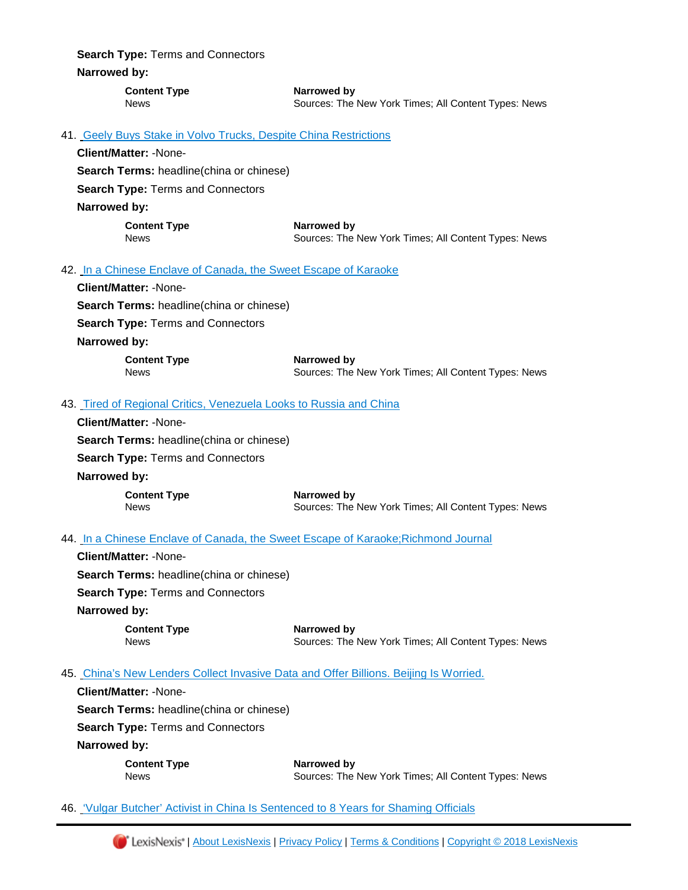**Search Type:** Terms and Connectors **Narrowed by:** 

> **Content Type Narrowed by** News Sources: The New York Times; All Content Types: News

# 41. [Geely Buys Stake in Volvo Trucks, Despite China Restrictions](https://advance.lexis.com/api/document?id=urn:contentItem:5R8R-58R1-DXY4-X3KP-00000-00&idtype=PID&context=1000516)

**Client/Matter:** -None-

**Search Terms:** headline(china or chinese)

**Search Type:** Terms and Connectors

**Narrowed by:** 

**Content Type Narrowed by**

News Sources: The New York Times; All Content Types: News

#### 42. [In a Chinese Enclave of Canada, the Sweet Escape of Karaoke](https://advance.lexis.com/api/document?id=urn:contentItem:5R8H-T0N1-JBG3-62DX-00000-00&idtype=PID&context=1000516)

|                                                  | <b>Client/Matter: -None-</b>                                      |                                                                     |
|--------------------------------------------------|-------------------------------------------------------------------|---------------------------------------------------------------------|
| <b>Search Terms:</b> headline (china or chinese) |                                                                   |                                                                     |
|                                                  | <b>Search Type: Terms and Connectors</b>                          |                                                                     |
|                                                  | Narrowed by:                                                      |                                                                     |
|                                                  | <b>Content Type</b><br><b>News</b>                                | Narrowed by<br>Sources: The New York Times; All Content Types: News |
|                                                  | 13 Tired of Regional Critics, Venezuela Looks to Russia and China |                                                                     |
|                                                  |                                                                   |                                                                     |

# 43. [Tired of Regional Critics, Venezuela Looks to Russia and China](https://advance.lexis.com/api/document?id=urn:contentItem:5R8P-XCT1-DXY4-X3KF-00000-00&idtype=PID&context=1000516)

**Client/Matter:** -None-**Search Terms:** headline(china or chinese) **Search Type:** Terms and Connectors **Narrowed by: Content Type Narrowed by** News Sources: The New York Times; All Content Types: News

# 44. [In a Chinese Enclave of Canada, the Sweet Escape of Karaoke;Richmond Journal](https://advance.lexis.com/api/document?id=urn:contentItem:5R8H-8DR1-DXY4-X2HW-00000-00&idtype=PID&context=1000516)

**Client/Matter:** -None-**Search Terms:** headline(china or chinese) **Search Type:** Terms and Connectors **Narrowed by:** 

> **Content Type <b>Content Type Narrowed by**<br> **News Cources:** The Sources: The New York Times; All Content Types: News

# 45. [China's New Lenders Collect Invasive Data and Offer Billions. Beijing Is Worried.](https://advance.lexis.com/api/document?id=urn:contentItem:5R89-6XS1-JBG3-64B9-00000-00&idtype=PID&context=1000516)

**Client/Matter:** -None-

**Search Terms:** headline(china or chinese)

**Search Type:** Terms and Connectors

**Narrowed by:** 

**Content Type Narrowed by**

News Sources: The New York Times; All Content Types: News

46. ['Vulgar Butcher' Activist in China Is Sentenced to 8 Years for Shaming Officials](https://advance.lexis.com/api/document?id=urn:contentItem:5R89-4MC1-JBG3-64B5-00000-00&idtype=PID&context=1000516)